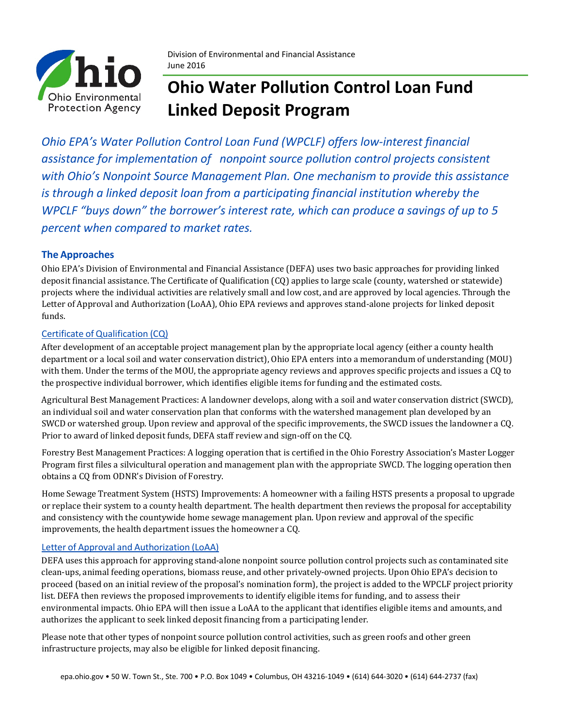

# **Ohio Water Pollution Control Loan Fund Linked Deposit Program**

*Ohio EPA's Water Pollution Control Loan Fund (WPCLF) offers low-interest financial assistance for implementation of nonpoint source pollution control projects consistent with Ohio's Nonpoint Source Management Plan. One mechanism to provide this assistance is through a linked deposit loan from a participating financial institution whereby the WPCLF "buys down" the borrower's interest rate, which can produce a savings of up to 5 percent when compared to market rates.*

### **The Approaches**

Ohio EPA's Division of Environmental and Financial Assistance (DEFA) uses two basic approaches for providing linked deposit financial assistance. The Certificate of Qualification (CQ) applies to large scale (county, watershed or statewide) projects where the individual activities are relatively small and low cost, and are approved by local agencies. Through the Letter of Approval and Authorization (LoAA), Ohio EPA reviews and approves stand-alone projects for linked deposit funds.

#### Certificate of Qualification (CQ)

After development of an acceptable project management plan by the appropriate local agency (either a county health department or a local soil and water conservation district), Ohio EPA enters into a memorandum of understanding (MOU) with them. Under the terms of the MOU, the appropriate agency reviews and approves specific projects and issues a CQ to the prospective individual borrower, which identifies eligible items for funding and the estimated costs.

Agricultural Best Management Practices: A landowner develops, along with a soil and water conservation district (SWCD), an individual soil and water conservation plan that conforms with the watershed management plan developed by an SWCD or watershed group. Upon review and approval of the specific improvements, the SWCD issues the landowner a CQ. Prior to award of linked deposit funds, DEFA staff review and sign-off on the CQ.

Forestry Best Management Practices: A logging operation that is certified in the Ohio Forestry Association's Master Logger Program first files a silvicultural operation and management plan with the appropriate SWCD. The logging operation then obtains a CQ from ODNR's Division of Forestry.

Home Sewage Treatment System (HSTS) Improvements: A homeowner with a failing HSTS presents a proposal to upgrade or replace their system to a county health department. The health department then reviews the proposal for acceptability and consistency with the countywide home sewage management plan. Upon review and approval of the specific improvements, the health department issues the homeowner a CQ.

#### Letter of Approval and Authorization (LoAA)

DEFA uses this approach for approving stand-alone nonpoint source pollution control projects such as contaminated site clean-ups, animal feeding operations, biomass reuse, and other privately-owned projects. Upon Ohio EPA's decision to proceed (based on an initial review of the proposal's nomination form), the project is added to the WPCLF project priority list. DEFA then reviews the proposed improvements to identify eligible items for funding, and to assess their environmental impacts. Ohio EPA will then issue a LoAA to the applicant that identifies eligible items and amounts, and authorizes the applicant to seek linked deposit financing from a participating lender.

Please note that other types of nonpoint source pollution control activities, such as green roofs and other green infrastructure projects, may also be eligible for linked deposit financing.